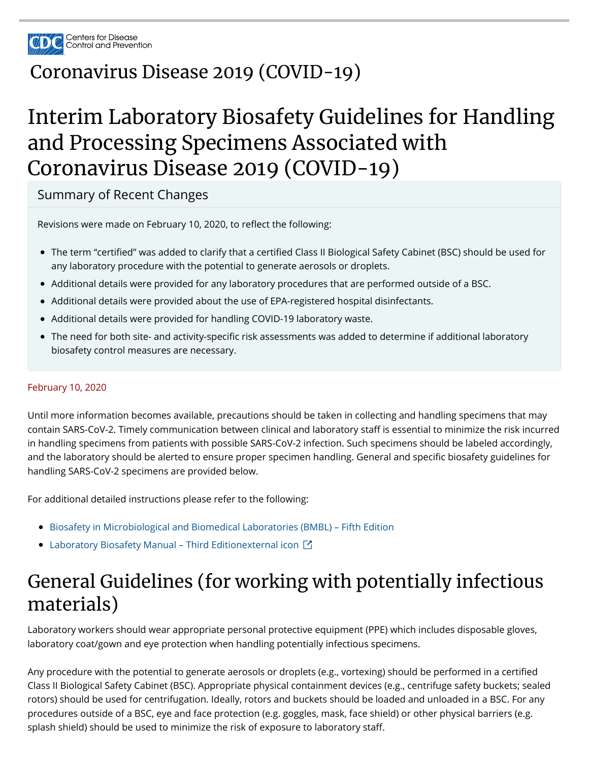

#### Coronavirus Disease 2019 (COVID-19)

## Interim Laboratory Biosafety Guidelines for Handling and Processing Specimens Associated with Coronavirus Disease 2019 (COVID-19)

Summary of Recent Changes

Revisions were made on February 10, 2020, to reflect the following:

- The term "certified" was added to clarify that a certified Class II Biological Safety Cabinet (BSC) should be used for any laboratory procedure with the potential to generate aerosols or droplets.
- Additional details were provided for any laboratory procedures that are performed outside of a BSC.
- Additional details were provided about the use of EPA-registered hospital disinfectants.
- Additional details were provided for handling COVID-19 laboratory waste.
- The need for both site- and activity-specific risk assessments was added to determine if additional laboratory biosafety control measures are necessary.

#### February 10, 2020

Until more information becomes available, precautions should be taken in collecting and handling specimens that may contain SARS-CoV-2. Timely communication between clinical and laboratory staff is essential to minimize the risk incurred in handling specimens from patients with possible SARS-CoV-2 infection. Such specimens should be labeled accordingly, and the laboratory should be alerted to ensure proper specimen handling. General and specific biosafety guidelines for handling SARS-CoV-2 specimens are provided below.

For additional detailed instructions please refer to the following:

- **Biosafety in Microbiological and Biomedical Laboratories (BMBL) Fifth Edition**
- Laboratory Biosafety Manual Third Editionexternal icon **M**

#### General Guidelines (for working with potentially infectious materials)

Laboratory workers should wear appropriate personal protective equipment (PPE) which includes disposable gloves, laboratory coat/gown and eye protection when handling potentially infectious specimens.

Any procedure with the potential to generate aerosols or droplets (e.g., vortexing) should be performed in a certified Class II Biological Safety Cabinet (BSC). Appropriate physical containment devices (e.g., centrifuge safety buckets; sealed rotors) should be used for centrifugation. Ideally, rotors and buckets should be loaded and unloaded in a BSC. For any procedures outside of a BSC, eye and face protection (e.g. goggles, mask, face shield) or other physical barriers (e.g. splash shield) should be used to minimize the risk of exposure to laboratory staff.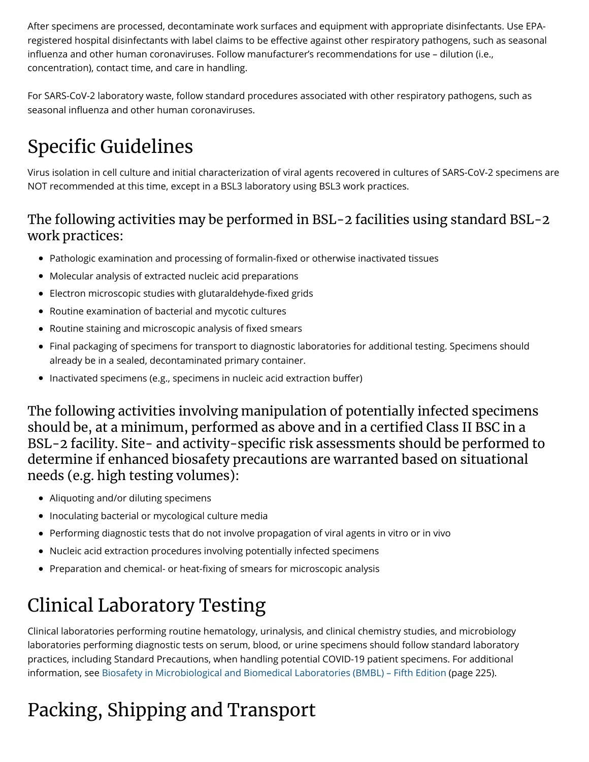After specimens are processed, decontaminate work surfaces and equipment with appropriate disinfectants. Use EPAregistered hospital disinfectants with label claims to be effective against other respiratory pathogens, such as seasonal influenza and other human coronaviruses. Follow manufacturer's recommendations for use - dilution (i.e., concentration), contact time, and care in handling.

For SARS-CoV-2 laboratory waste, follow standard procedures associated with other respiratory pathogens, such as seasonal influenza and other human coronaviruses.

## Specific Guidelines

Virus isolation in cell culture and initial characterization of viral agents recovered in cultures of SARS-CoV-2 specimens are NOT recommended at this time, except in a BSL3 laboratory using BSL3 work practices.

#### The following activities may be performed in BSL-2 facilities using standard BSL-2 work practices:

- Pathologic examination and processing of formalin-fixed or otherwise inactivated tissues
- Molecular analysis of extracted nucleic acid preparations
- Electron microscopic studies with glutaraldehyde-fixed grids
- Routine examination of bacterial and mycotic cultures
- Routine staining and microscopic analysis of fixed smears
- Final packaging of specimens for transport to diagnostic laboratories for additional testing. Specimens should already be in a sealed, decontaminated primary container.
- Inactivated specimens (e.g., specimens in nucleic acid extraction buffer)

The following activities involving manipulation of potentially infected specimens should be, at a minimum, performed as above and in a certified Class II BSC in a BSL-2 facility. Site- and activity-specific risk assessments should be performed to determine if enhanced biosafety precautions are warranted based on situational needs (e.g. high testing volumes):

- Aliquoting and/or diluting specimens
- Inoculating bacterial or mycological culture media
- Performing diagnostic tests that do not involve propagation of viral agents in vitro or in vivo
- Nucleic acid extraction procedures involving potentially infected specimens
- Preparation and chemical- or heat-fixing of smears for microscopic analysis

## Clinical Laboratory Testing

Clinical laboratories performing routine hematology, urinalysis, and clinical chemistry studies, and microbiology laboratories performing diagnostic tests on serum, blood, or urine specimens should follow standard laboratory practices, including Standard Precautions, when handling potential COVID-19 patient specimens. For additional information, see Biosafety in Microbiological and Biomedical Laboratories (BMBL) – Fifth Edition (page 225).

# Packing, Shipping and Transport